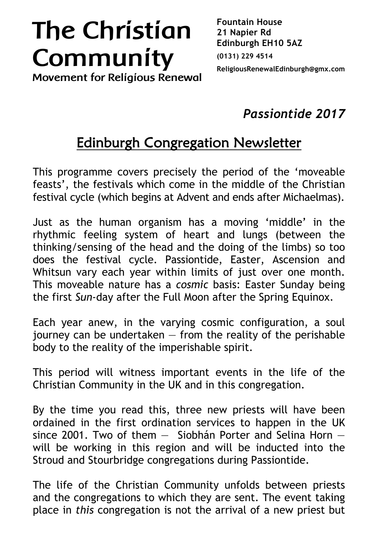## **The Christian Community**

**Fountain House 21 Napier Rd Edinburgh EH10 5AZ (0131) 229 4514 ReligiousRenewalEdinburgh@gmx.com**

**Movement for Religious Renewal**

*Passiontide 2017*

## Edinburgh Congregation Newsletter

This programme covers precisely the period of the 'moveable feasts', the festivals which come in the middle of the Christian festival cycle (which begins at Advent and ends after Michaelmas).

Just as the human organism has a moving 'middle' in the rhythmic feeling system of heart and lungs (between the thinking/sensing of the head and the doing of the limbs) so too does the festival cycle. Passiontide, Easter, Ascension and Whitsun vary each year within limits of just over one month. This moveable nature has a *cosmic* basis: Easter Sunday being the first *Sun*-day after the Full Moon after the Spring Equinox.

Each year anew, in the varying cosmic configuration, a soul  $j$ ourney can be undertaken  $-$  from the reality of the perishable body to the reality of the imperishable spirit.

This period will witness important events in the life of the Christian Community in the UK and in this congregation.

By the time you read this, three new priests will have been ordained in the first ordination services to happen in the UK since 2001. Two of them — Siobhán Porter and Selina Horn will be working in this region and will be inducted into the Stroud and Stourbridge congregations during Passiontide.

The life of the Christian Community unfolds between priests and the congregations to which they are sent. The event taking place in *this* congregation is not the arrival of a new priest but